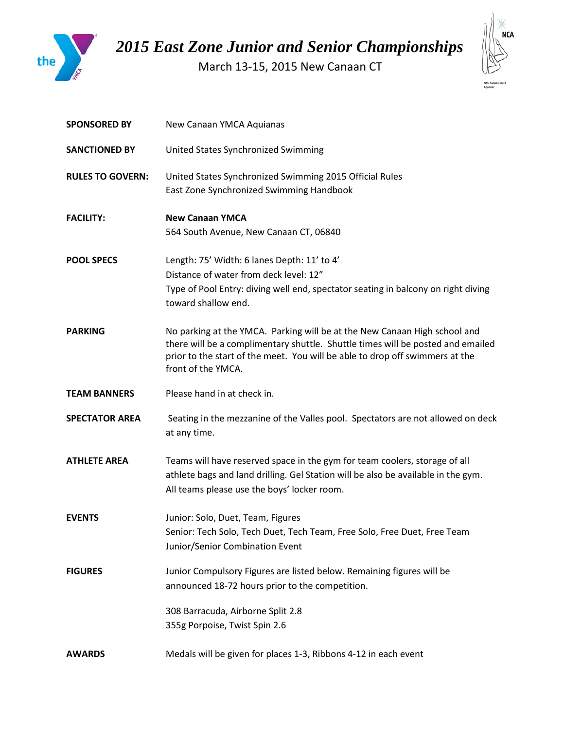

*2015 East Zone Junior and Senior Championships*

March 13-15, 2015 New Canaan CT



| <b>SPONSORED BY</b>     | New Canaan YMCA Aquianas                                                                                                                                                                                                                                           |
|-------------------------|--------------------------------------------------------------------------------------------------------------------------------------------------------------------------------------------------------------------------------------------------------------------|
| <b>SANCTIONED BY</b>    | United States Synchronized Swimming                                                                                                                                                                                                                                |
| <b>RULES TO GOVERN:</b> | United States Synchronized Swimming 2015 Official Rules<br>East Zone Synchronized Swimming Handbook                                                                                                                                                                |
| <b>FACILITY:</b>        | <b>New Canaan YMCA</b><br>564 South Avenue, New Canaan CT, 06840                                                                                                                                                                                                   |
| <b>POOL SPECS</b>       | Length: 75' Width: 6 lanes Depth: 11' to 4'<br>Distance of water from deck level: 12"<br>Type of Pool Entry: diving well end, spectator seating in balcony on right diving<br>toward shallow end.                                                                  |
| <b>PARKING</b>          | No parking at the YMCA. Parking will be at the New Canaan High school and<br>there will be a complimentary shuttle. Shuttle times will be posted and emailed<br>prior to the start of the meet. You will be able to drop off swimmers at the<br>front of the YMCA. |
| <b>TEAM BANNERS</b>     | Please hand in at check in.                                                                                                                                                                                                                                        |
| <b>SPECTATOR AREA</b>   | Seating in the mezzanine of the Valles pool. Spectators are not allowed on deck<br>at any time.                                                                                                                                                                    |
| <b>ATHLETE AREA</b>     | Teams will have reserved space in the gym for team coolers, storage of all<br>athlete bags and land drilling. Gel Station will be also be available in the gym.<br>All teams please use the boys' locker room.                                                     |
| <b>EVENTS</b>           | Junior: Solo, Duet, Team, Figures<br>Senior: Tech Solo, Tech Duet, Tech Team, Free Solo, Free Duet, Free Team<br>Junior/Senior Combination Event                                                                                                                   |
| <b>FIGURES</b>          | Junior Compulsory Figures are listed below. Remaining figures will be<br>announced 18-72 hours prior to the competition.                                                                                                                                           |
|                         | 308 Barracuda, Airborne Split 2.8<br>355g Porpoise, Twist Spin 2.6                                                                                                                                                                                                 |
| <b>AWARDS</b>           | Medals will be given for places 1-3, Ribbons 4-12 in each event                                                                                                                                                                                                    |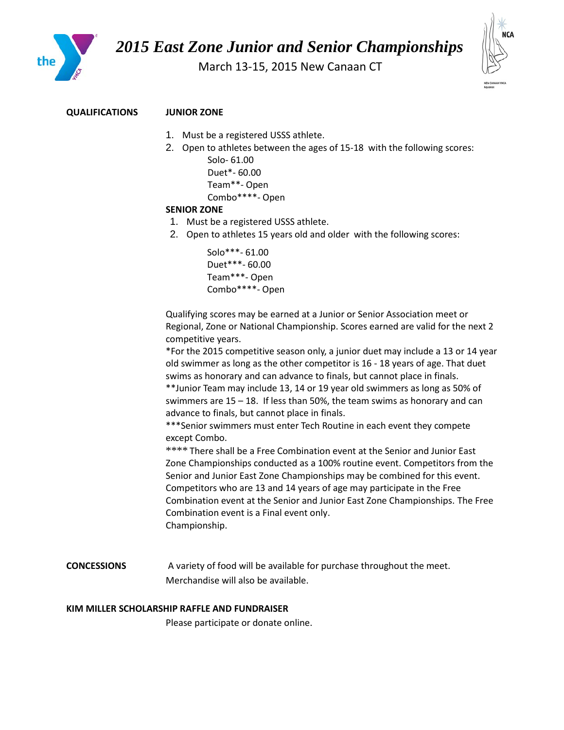

# *2015 East Zone Junior and Senior Championships*

March 13-15, 2015 New Canaan CT



### **QUALIFICATIONS JUNIOR ZONE**

- 1. Must be a registered USSS athlete.
- 2. Open to athletes between the ages of 15-18 with the following scores: Solo- 61.00 Duet\*- 60.00 Team\*\*- Open
	- Combo\*\*\*\*- Open

#### **SENIOR ZONE**

- 1. Must be a registered USSS athlete.
- 2. Open to athletes 15 years old and older with the following scores:

```
Solo***- 61.00
Duet***- 60.00
Team***- Open
Combo****- Open
```
Qualifying scores may be earned at a Junior or Senior Association meet or Regional, Zone or National Championship. Scores earned are valid for the next 2 competitive years.

\*For the 2015 competitive season only, a junior duet may include a 13 or 14 year old swimmer as long as the other competitor is 16 - 18 years of age. That duet swims as honorary and can advance to finals, but cannot place in finals.

\*\*Junior Team may include 13, 14 or 19 year old swimmers as long as 50% of swimmers are 15 – 18. If less than 50%, the team swims as honorary and can advance to finals, but cannot place in finals.

\*\*\*Senior swimmers must enter Tech Routine in each event they compete except Combo.

\*\*\*\* There shall be a Free Combination event at the Senior and Junior East Zone Championships conducted as a 100% routine event. Competitors from the Senior and Junior East Zone Championships may be combined for this event. Competitors who are 13 and 14 years of age may participate in the Free Combination event at the Senior and Junior East Zone Championships. The Free Combination event is a Final event only. Championship.

**CONCESSIONS** A variety of food will be available for purchase throughout the meet. Merchandise will also be available.

#### **KIM MILLER SCHOLARSHIP RAFFLE AND FUNDRAISER**

Please participate or donate online.